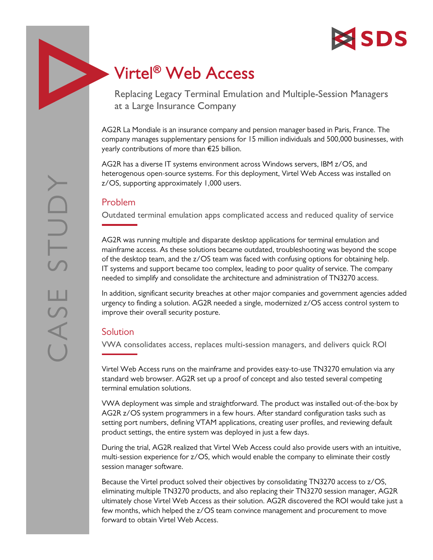

# Virtel® Web Access

Replacing Legacy Terminal Emulation and Multiple-Session Managers at a Large Insurance Company

AG2R La Mondiale is an insurance company and pension manager based in Paris, France. The company manages supplementary pensions for 15 million individuals and 500,000 businesses, with yearly contributions of more than €25 billion.

AG2R has a diverse IT systems environment across Windows servers, IBM z/OS, and heterogenous open-source systems. For this deployment, Virtel Web Access was installed on z/OS, supporting approximately 1,000 users.

## Problem

Outdated terminal emulation apps complicated access and reduced quality of service

AG2R was running multiple and disparate desktop applications for terminal emulation and mainframe access. As these solutions became outdated, troubleshooting was beyond the scope of the desktop team, and the z/OS team was faced with confusing options for obtaining help. IT systems and support became too complex, leading to poor quality of service. The company needed to simplify and consolidate the architecture and administration of TN3270 access.

In addition, significant security breaches at other major companies and government agencies added urgency to finding a solution. AG2R needed a single, modernized z/OS access control system to improve their overall security posture.

# Solution

VWA consolidates access, replaces multi-session managers, and delivers quick ROI

Virtel Web Access runs on the mainframe and provides easy-to-use TN3270 emulation via any standard web browser. AG2R set up a proof of concept and also tested several competing terminal emulation solutions.

VWA deployment was simple and straightforward. The product was installed out-of-the-box by AG2R z/OS system programmers in a few hours. After standard configuration tasks such as setting port numbers, defining VTAM applications, creating user profiles, and reviewing default product settings, the entire system was deployed in just a few days.

During the trial, AG2R realized that Virtel Web Access could also provide users with an intuitive, multi-session experience for z/OS, which would enable the company to eliminate their costly session manager software.

Because the Virtel product solved their objectives by consolidating TN3270 access to z/OS, eliminating multiple TN3270 products, and also replacing their TN3270 session manager, AG2R ultimately chose Virtel Web Access as their solution. AG2R discovered the ROI would take just a few months, which helped the z/OS team convince management and procurement to move forward to obtain Virtel Web Access.